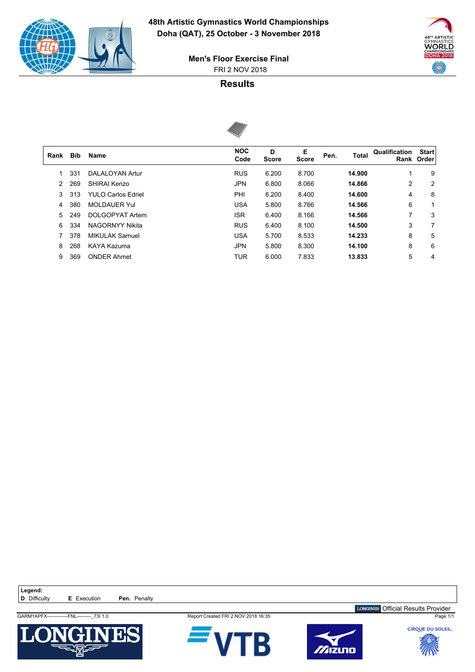

 $\sqrt{ }$ 

WORLD **DOHA 2018** 400

 FRI 2 NOV 2018 **Men's Floor Exercise Final**

### **Results**



| Rank | Bib | <b>Name</b>               | <b>NOC</b><br>Code | D<br><b>Score</b> | Е<br><b>Score</b> | Pen. | Total  | Qualification | <b>Start</b><br>Rank Order |
|------|-----|---------------------------|--------------------|-------------------|-------------------|------|--------|---------------|----------------------------|
|      | 331 | DALALOYAN Artur           | <b>RUS</b>         | 6.200             | 8.700             |      | 14.900 | 1             | 9                          |
| 2    | 269 | SHIRAI Kenzo              | <b>JPN</b>         | 6.800             | 8.066             |      | 14.866 | 2             | 2                          |
| 3    | 313 | <b>YULO Carlos Edriel</b> | PHI                | 6.200             | 8.400             |      | 14.600 | 4             | 8                          |
| 4    | 380 | <b>MOLDAUER Yul</b>       | <b>USA</b>         | 5.800             | 8.766             |      | 14.566 | 6             | 1                          |
| 5    | 249 | DOLGOPYAT Artem           | <b>ISR</b>         | 6.400             | 8.166             |      | 14.566 | 7             | 3                          |
| 6    | 334 | NAGORNYY Nikita           | <b>RUS</b>         | 6.400             | 8.100             |      | 14.500 | 3             | 7                          |
|      | 378 | <b>MIKULAK Samuel</b>     | <b>USA</b>         | 5.700             | 8.533             |      | 14.233 | 8             | 5                          |
| 8    | 268 | KAYA Kazuma               | <b>JPN</b>         | 5.800             | 8.300             |      | 14.100 | 8             | 6                          |
| 9    | 369 | <b>ONDER Ahmet</b>        | <b>TUR</b>         | 6.000             | 7.833             |      | 13.833 | 5             | 4                          |
|      |     |                           |                    |                   |                   |      |        |               |                            |

Legend:<br>**D** Difficulty



**E** Execution **Pen.** Penalty







LONGINES Official Results Provider

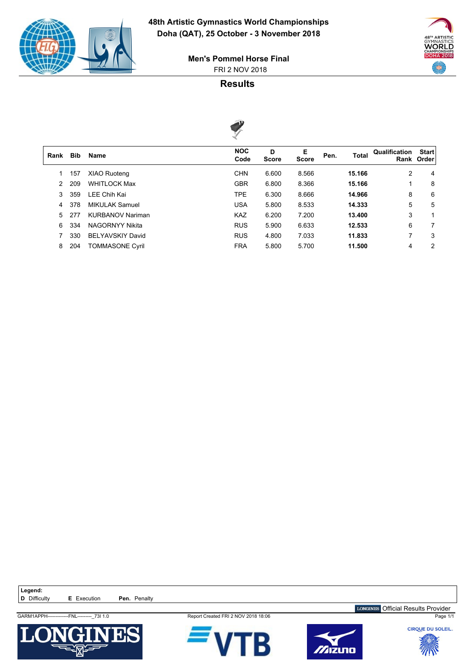

 $\sqrt{2}$ 



 FRI 2 NOV 2018 **Men's Pommel Horse Final**

## **Results**



| Rank | Bib | <b>Name</b>             | <b>NOC</b><br>Code | D<br><b>Score</b> | Е<br><b>Score</b> | Pen. | <b>Total</b> | Qualification | <b>Start</b><br>Rank Order |
|------|-----|-------------------------|--------------------|-------------------|-------------------|------|--------------|---------------|----------------------------|
|      | 157 | <b>XIAO Ruoteng</b>     | <b>CHN</b>         | 6.600             | 8.566             |      | 15.166       | 2             | 4                          |
| 2    | 209 | <b>WHITLOCK Max</b>     | <b>GBR</b>         | 6.800             | 8.366             |      | 15.166       | 1             | 8                          |
| 3    | 359 | LEE Chih Kai            | <b>TPE</b>         | 6.300             | 8.666             |      | 14.966       | 8             | 6                          |
| 4    | 378 | <b>MIKULAK Samuel</b>   | <b>USA</b>         | 5.800             | 8.533             |      | 14.333       | 5             | 5                          |
| 5    | 277 | <b>KURBANOV Nariman</b> | <b>KAZ</b>         | 6.200             | 7.200             |      | 13.400       | 3             | 1                          |
| 6    | 334 | <b>NAGORNYY Nikita</b>  | <b>RUS</b>         | 5.900             | 6.633             |      | 12.533       | 6             | $\overline{7}$             |
|      | 330 | <b>BELYAVSKIY David</b> | <b>RUS</b>         | 4.800             | 7.033             |      | 11.833       | 7             | 3                          |
| 8    | 204 | <b>TOMMASONE Cyril</b>  | <b>FRA</b>         | 5.800             | 5.700             |      | 11.500       | 4             | 2                          |
|      |     |                         |                    |                   |                   |      |              |               |                            |

Legend:<br>**D** Difficulty **E** Execution **Pen.** Penalty







GARM1APPH-------------FNL---------\_73I 1.0 Report Created FRI 2 NOV 2018 18:06 Page 1/1 LONGINES Official Results Provider

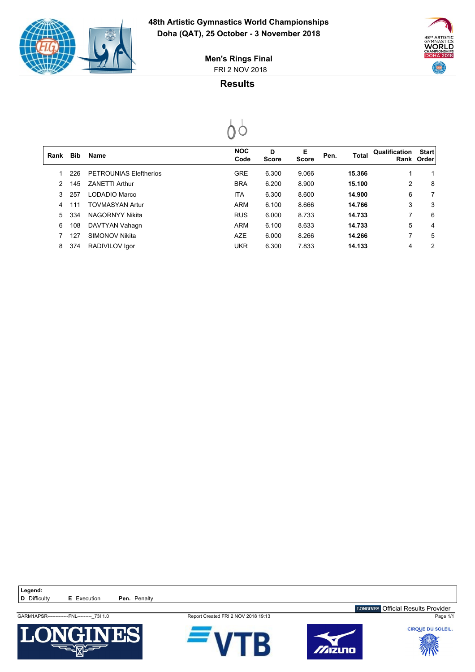

 $\begin{bmatrix} \phantom{-} \end{bmatrix}$ 



 FRI 2 NOV 2018 **Men's Rings Final**

# **Results**



| Rank | <b>Bib</b> | <b>Name</b>            | <b>NOC</b><br>Code | D<br><b>Score</b> | Е<br><b>Score</b> | Pen. | Total  | Qualification | <b>Start</b><br>Rank Order |
|------|------------|------------------------|--------------------|-------------------|-------------------|------|--------|---------------|----------------------------|
|      | 226        | PETROUNIAS Eleftherios | <b>GRE</b>         | 6.300             | 9.066             |      | 15.366 | 1             | 1                          |
| 2    | 145        | <b>ZANETTI Arthur</b>  | <b>BRA</b>         | 6.200             | 8.900             |      | 15.100 | 2             | 8                          |
| 3    | 257        | LODADIO Marco          | <b>ITA</b>         | 6.300             | 8.600             |      | 14.900 | 6             | 7                          |
| 4    | 111        | <b>TOVMASYAN Artur</b> | <b>ARM</b>         | 6.100             | 8.666             |      | 14.766 | 3             | 3                          |
| 5.   | 334        | NAGORNYY Nikita        | <b>RUS</b>         | 6.000             | 8.733             |      | 14.733 | 7             | 6                          |
| 6    | 108        | DAVTYAN Vahagn         | <b>ARM</b>         | 6.100             | 8.633             |      | 14.733 | 5             | 4                          |
|      | 127        | <b>SIMONOV Nikita</b>  | <b>AZE</b>         | 6.000             | 8.266             |      | 14.266 | 7             | 5                          |
| 8    | 374        | RADIVILOV Igor         | <b>UKR</b>         | 6.300             | 7.833             |      | 14.133 | 4             | 2                          |
|      |            |                        |                    |                   |                   |      |        |               |                            |

Legend:<br>**D** Difficulty **E** Execution **Pen.** Penalty

GARM1APSR-------------FNL---------\_73I 1.0 Report Created FRI 2 NOV 2018 19:13 Page 1/1







LONGINES Official Results Provider

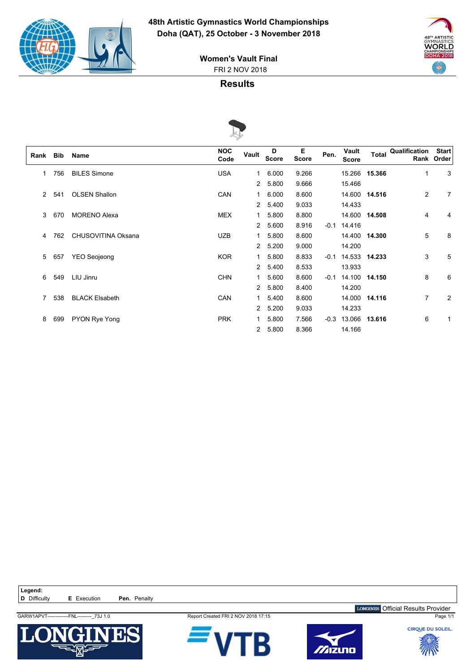

**WORLD DOHA 2018** 400

 FRI 2 NOV 2018 **Women's Vault Final**

### **Results**



|      |            |                       | $\sim$             |                |                   |                   |        |                       |        |                            |                            |
|------|------------|-----------------------|--------------------|----------------|-------------------|-------------------|--------|-----------------------|--------|----------------------------|----------------------------|
| Rank | <b>Bib</b> | Name                  | <b>NOC</b><br>Code | Vault          | D<br><b>Score</b> | Е<br><b>Score</b> | Pen.   | Vault<br><b>Score</b> |        | <b>Total Qualification</b> | <b>Start</b><br>Rank Order |
| 1    | 756        | <b>BILES Simone</b>   | <b>USA</b>         | 1              | 6.000             | 9.266             |        | 15.266                | 15.366 | 1                          | 3                          |
|      |            |                       |                    | 2              | 5.800             | 9.666             |        | 15.466                |        |                            |                            |
| 2    | 541        | <b>OLSEN Shallon</b>  | <b>CAN</b>         | 1              | 6.000             | 8.600             |        | 14.600                | 14.516 | 2                          | 7                          |
|      |            |                       |                    | 2              | 5.400             | 9.033             |        | 14.433                |        |                            |                            |
| 3    | 670        | <b>MORENO Alexa</b>   | <b>MEX</b>         | 1              | 5.800             | 8.800             |        | 14.600                | 14.508 | 4                          | 4                          |
|      |            |                       |                    | 2              | 5.600             | 8.916             | $-0.1$ | 14.416                |        |                            |                            |
| 4    | 762        | CHUSOVITINA Oksana    | <b>UZB</b>         | 1              | 5.800             | 8.600             |        | 14.400                | 14.300 | 5                          | 8                          |
|      |            |                       |                    | 2              | 5.200             | 9.000             |        | 14.200                |        |                            |                            |
| 5    | 657        | YEO Seojeong          | <b>KOR</b>         | 1              | 5.800             | 8.833             | $-0.1$ | 14.533                | 14.233 | 3                          | 5                          |
|      |            |                       |                    | 2              | 5.400             | 8.533             |        | 13.933                |        |                            |                            |
| 6    | 549        | LIU Jinru             | <b>CHN</b>         | 1.             | 5.600             | 8.600             | $-0.1$ | 14.100                | 14.150 | 8                          | 6                          |
|      |            |                       |                    | 2              | 5.800             | 8.400             |        | 14.200                |        |                            |                            |
| 7    | 538        | <b>BLACK Elsabeth</b> | <b>CAN</b>         | 1              | 5.400             | 8.600             |        | 14.000                | 14.116 | 7                          | $\overline{2}$             |
|      |            |                       |                    | 2              | 5.200             | 9.033             |        | 14.233                |        |                            |                            |
| 8    | 699        | PYON Rye Yong         | <b>PRK</b>         | 1.             | 5.800             | 7.566             | $-0.3$ | 13.066                | 13.616 | 6                          |                            |
|      |            |                       |                    | $\overline{2}$ | 5.800             | 8.366             |        | 14.166                |        |                            |                            |

Legend:<br>**D** Difficulty **E** Execution **Pen.** Penalty GARW1APVT-------------FNL---------\_73J 1.0 Report Created FRI 2 NOV 2018 17:15 Page 1/1







LONGINES Official Results Provider